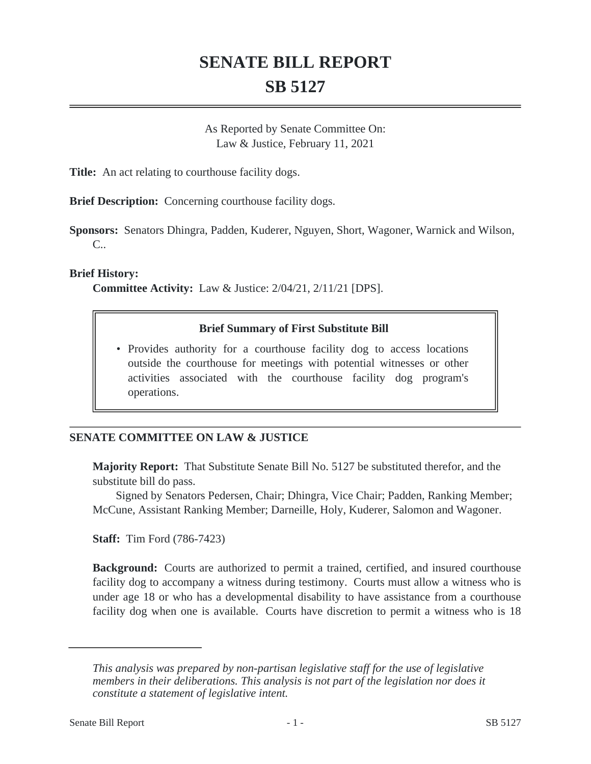## **SENATE BILL REPORT SB 5127**

As Reported by Senate Committee On: Law & Justice, February 11, 2021

**Title:** An act relating to courthouse facility dogs.

**Brief Description:** Concerning courthouse facility dogs.

**Sponsors:** Senators Dhingra, Padden, Kuderer, Nguyen, Short, Wagoner, Warnick and Wilson, C..

**Brief History:**

**Committee Activity:** Law & Justice: 2/04/21, 2/11/21 [DPS].

## **Brief Summary of First Substitute Bill**

• Provides authority for a courthouse facility dog to access locations outside the courthouse for meetings with potential witnesses or other activities associated with the courthouse facility dog program's operations.

## **SENATE COMMITTEE ON LAW & JUSTICE**

**Majority Report:** That Substitute Senate Bill No. 5127 be substituted therefor, and the substitute bill do pass.

Signed by Senators Pedersen, Chair; Dhingra, Vice Chair; Padden, Ranking Member; McCune, Assistant Ranking Member; Darneille, Holy, Kuderer, Salomon and Wagoner.

**Staff:** Tim Ford (786-7423)

**Background:** Courts are authorized to permit a trained, certified, and insured courthouse facility dog to accompany a witness during testimony. Courts must allow a witness who is under age 18 or who has a developmental disability to have assistance from a courthouse facility dog when one is available. Courts have discretion to permit a witness who is 18

*This analysis was prepared by non-partisan legislative staff for the use of legislative members in their deliberations. This analysis is not part of the legislation nor does it constitute a statement of legislative intent.*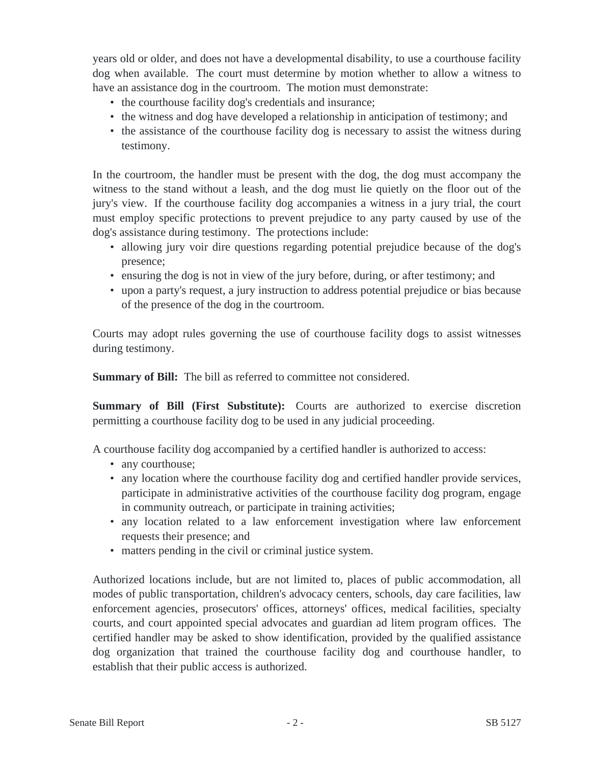years old or older, and does not have a developmental disability, to use a courthouse facility dog when available. The court must determine by motion whether to allow a witness to have an assistance dog in the courtroom. The motion must demonstrate:

- the courthouse facility dog's credentials and insurance;
- the witness and dog have developed a relationship in anticipation of testimony; and
- the assistance of the courthouse facility dog is necessary to assist the witness during testimony.

In the courtroom, the handler must be present with the dog, the dog must accompany the witness to the stand without a leash, and the dog must lie quietly on the floor out of the jury's view. If the courthouse facility dog accompanies a witness in a jury trial, the court must employ specific protections to prevent prejudice to any party caused by use of the dog's assistance during testimony. The protections include:

- allowing jury voir dire questions regarding potential prejudice because of the dog's presence;
- ensuring the dog is not in view of the jury before, during, or after testimony; and
- upon a party's request, a jury instruction to address potential prejudice or bias because of the presence of the dog in the courtroom.

Courts may adopt rules governing the use of courthouse facility dogs to assist witnesses during testimony.

**Summary of Bill:** The bill as referred to committee not considered.

**Summary of Bill (First Substitute):** Courts are authorized to exercise discretion permitting a courthouse facility dog to be used in any judicial proceeding.

A courthouse facility dog accompanied by a certified handler is authorized to access:

- any courthouse;
- any location where the courthouse facility dog and certified handler provide services, participate in administrative activities of the courthouse facility dog program, engage in community outreach, or participate in training activities;
- any location related to a law enforcement investigation where law enforcement requests their presence; and
- matters pending in the civil or criminal justice system.

Authorized locations include, but are not limited to, places of public accommodation, all modes of public transportation, children's advocacy centers, schools, day care facilities, law enforcement agencies, prosecutors' offices, attorneys' offices, medical facilities, specialty courts, and court appointed special advocates and guardian ad litem program offices. The certified handler may be asked to show identification, provided by the qualified assistance dog organization that trained the courthouse facility dog and courthouse handler, to establish that their public access is authorized.